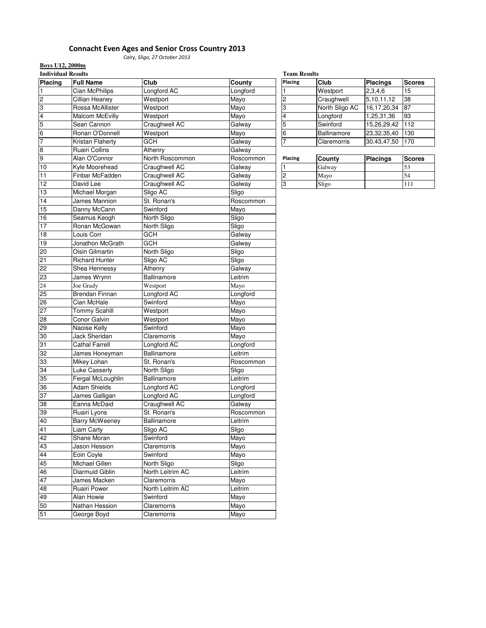# Connacht Even Ages and Senior Cross Country 2013

Calry, Sligo, 27 October 2013

**Boys U12, 2000m**

| <b>Individual Results</b> |                        |                  |           | <b>Team Results</b>     |                |                 |                 |
|---------------------------|------------------------|------------------|-----------|-------------------------|----------------|-----------------|-----------------|
| Placing                   | <b>Full Name</b>       | Club             | County    | Placing                 | Club           | <b>Placings</b> | <b>Scores</b>   |
| 1                         | Cian McPhilips         | Longford AC      | Longford  | 1                       | Westport       | 2,3,4,6         | 15              |
| $\overline{c}$            | Cillian Heaney         | Westport         | Mayo      | $\overline{2}$          | Craughwell     | 5,10,11,12      | $\overline{38}$ |
| 3                         | Rossa McAllister       | Westport         | Mayo      | 3                       | North Sligo AC | 16, 17, 20, 34  | 87              |
| $\overline{4}$            | <b>Malcom McEvilly</b> | Westport         | Mayo      | $\overline{4}$          | Longford       | 1,25,31,36      | 93              |
| 5                         | Sean Cannon            | Craughwell AC    | Galway    | $\overline{5}$          | Swinford       | 15,26,29,42     | 112             |
| $6\overline{6}$           | Ronan O'Donnell        | Westport         | Mayo      | 6                       | Ballinamore    | 23,32,35,40     | 130             |
| 7                         | Kristan Flaherty       | GCH              | Galway    | $\overline{7}$          | Claremorris    | 30,43,47,50     | 170             |
| $\boldsymbol{8}$          | Ruairi Collins         | Athenry          | Galway    |                         |                |                 |                 |
| 9                         | Alan O'Connor          | North Roscommon  | Roscommon | Placing                 | County         | <b>Placings</b> | <b>Scores</b>   |
| 10                        | Kyle Moorehead         | Craughwell AC    | Galway    | $\mathbf{1}$            | Galway         |                 | 53              |
| 11                        | Finbar McFadden        | Craughwell AC    | Galway    | $\overline{\mathbf{c}}$ | Mayo           |                 | 54              |
| 12                        | David Lee              | Craughwell AC    | Galway    | 3                       | Sligo          |                 | 111             |
| 13                        | Michael Morgan         | Sligo AC         | Sligo     |                         |                |                 |                 |
| 14                        | James Mannion          | St. Ronan's      | Roscommon |                         |                |                 |                 |
| 15                        | Danny McCann           | Swinford         | Mayo      |                         |                |                 |                 |
| 16                        | Seamus Keogh           | North Sligo      | Sligo     |                         |                |                 |                 |
| 17                        | Ronan McGowan          | North Sligo      | Sligo     |                         |                |                 |                 |
| 18                        | Louis Corr             | GCH              | Galway    |                         |                |                 |                 |
| 19                        | Jonathon McGrath       | GCH              | Galway    |                         |                |                 |                 |
| 20                        | Oisin Gilmartin        | North Sligo      | Sligo     |                         |                |                 |                 |
| 21                        | <b>Richard Hunter</b>  | Sligo AC         | Sligo     |                         |                |                 |                 |
| 22                        | Shea Hennessy          | Athenry          | Galway    |                         |                |                 |                 |
| 23                        | James Wrynn            | Ballinamore      | Leitrim   |                         |                |                 |                 |
| $\overline{24}$           | Joe Grady              | Westport         | Mayo      |                         |                |                 |                 |
| 25                        | <b>Brendan Finnan</b>  | Longford AC      | Longford  |                         |                |                 |                 |
| 26                        | Cian McHale            | Swinford         | Mayo      |                         |                |                 |                 |
| 27                        | <b>Tommy Scahill</b>   | Westport         | Mayo      |                         |                |                 |                 |
| 28                        | Conor Galvin           | Westport         | Mayo      |                         |                |                 |                 |
| 29                        | Naoise Kelly           | Swinford         | Mayo      |                         |                |                 |                 |
| 30                        | Jack Sheridan          | Claremorris      | Mayo      |                         |                |                 |                 |
| 31                        | <b>Cathal Farrell</b>  | Longford AC      | Longford  |                         |                |                 |                 |
| 32                        | James Honeyman         | Ballinamore      | Leitrim   |                         |                |                 |                 |
| 33                        | Mikey Lohan            | St. Ronan's      | Roscommon |                         |                |                 |                 |
| 34                        | <b>Luke Casserly</b>   | North Sligo      | Sligo     |                         |                |                 |                 |
| 35                        | Fergal McLoughlin      | Ballinamore      | Leitrim   |                         |                |                 |                 |
| 36                        | <b>Adam Shields</b>    | Longford AC      | Longford  |                         |                |                 |                 |
| 37                        | James Galligan         | Longford AC      | Longford  |                         |                |                 |                 |
| 38                        | Eanna McDaid           | Craughwell AC    | Galway    |                         |                |                 |                 |
| 39                        | Ruairi Lyons           | St. Ronan's      | Roscommon |                         |                |                 |                 |
| 40                        | <b>Barry McWeeney</b>  | Ballinamore      | Leitrim   |                         |                |                 |                 |
| 41                        | Liam Carty             | Sligo AC         | Sligo     |                         |                |                 |                 |
| 42                        | Shane Moran            | Swinford         | Mayo      |                         |                |                 |                 |
| 43                        | Jason Hession          | Claremorris      | Mayo      |                         |                |                 |                 |
| 44                        | Eoin Coyle             | Swinford         | Mayo      |                         |                |                 |                 |
| 45                        | Michael Gillen         | North Sligo      | Sligo     |                         |                |                 |                 |
| 46                        | Diarmuid Giblin        | North Leitrim AC | Leitrim   |                         |                |                 |                 |
| 47                        | James Macken           | Claremorris      | Mayo      |                         |                |                 |                 |
| 48                        | Ruairi Power           | North Leitrim AC | Leitrim   |                         |                |                 |                 |
| 49                        | Alan Howie             | Swinford         | Mayo      |                         |                |                 |                 |
| 50                        | Nathan Hession         | Claremorris      | Mayo      |                         |                |                 |                 |
| 51                        | George Boyd            | Claremorris      | Mayo      |                         |                |                 |                 |

| <b>Team Results</b> |                |                 |               |  |  |
|---------------------|----------------|-----------------|---------------|--|--|
| Placing             | Club           | <b>Placings</b> | <b>Scores</b> |  |  |
|                     | Westport       | 2,3,4,6         | 15            |  |  |
| $\overline{c}$      | Craughwell     | 5,10,11,12      | 38            |  |  |
| $\overline{3}$      | North Sligo AC | 16,17,20,34     | 87            |  |  |
| 4                   | Longford       | 1,25,31,36      | 93            |  |  |
| 5                   | Swinford       | 15,26,29,42     | 112           |  |  |
| 6                   | Ballinamore    | 23,32,35,40     | 130           |  |  |
| $\overline{7}$      | Claremorris    | 30,43,47,50     | 170           |  |  |

| Placing | County | <b>Placings</b> | Scores |
|---------|--------|-----------------|--------|
|         | Galway |                 |        |
|         | Mayo   |                 | 54     |
|         | Sligo  |                 |        |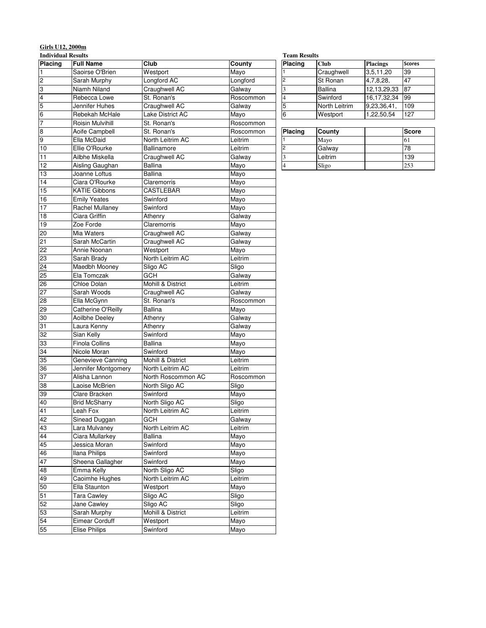### **Girls U12, 2000m**

| <b>Individual Results</b>                 |                       |                    |           | <b>Team Results</b>      |                |             |               |
|-------------------------------------------|-----------------------|--------------------|-----------|--------------------------|----------------|-------------|---------------|
| Placing                                   | <b>Full Name</b>      | Club               | County    | Placing                  | <b>Club</b>    | Placings    | <b>Scores</b> |
| $\overline{1}$                            | Saoirse O'Brien       | Westport           | Mayo      |                          | Craughwell     | 3,5,11,20   | 39            |
| $\overline{c}$                            | Sarah Murphy          | Longford AC        | Longford  | 2                        | St Ronan       | 4,7,8,28,   | 47            |
| ო                                         | Niamh Niland          | Craughwell AC      | Galway    | 3                        | <b>Ballina</b> | 12,13,29,33 | 87            |
|                                           | Rebecca Lowe          | St. Ronan's        | Roscommon | $\overline{\mathcal{L}}$ | Swinford       | 16,17,32,34 | 99            |
|                                           | Jennifer Huhes        | Craughwell AC      | Galway    | 5                        | North Leitrim  | 9,23,36,41, | 109           |
| $\frac{4}{5}$ $\frac{5}{6}$ $\frac{1}{7}$ | Rebekah McHale        | Lake District AC   | Mayo      | $\,$ 6                   | Westport       | 1,22,50,54  | 127           |
|                                           | Roisin Mulvihill      | St. Ronan's        | Roscommon |                          |                |             |               |
| $\frac{8}{9}$                             | Aoife Campbell        | St. Ronan's        | Roscommon | Placing                  | County         |             | Score         |
|                                           | Ella McDaid           | North Leitrim AC   | Leitrim   |                          | Mayo           |             | 61            |
| $\overline{10}$                           | Ellie O'Rourke        | Ballinamore        | Leitrim   | $\overline{2}$           | Galway         |             | 78            |
| 11                                        | Ailbhe Miskella       | Craughwell AC      | Galway    | $\overline{\mathbf{3}}$  | Leitrim        |             | 139           |
| $\overline{12}$                           | Aisling Gaughan       | <b>Ballina</b>     | Mayo      | $\overline{4}$           | Sligo          |             | 253           |
| 13                                        | Joanne Loftus         | <b>Ballina</b>     | Mayo      |                          |                |             |               |
| 14                                        | Ciara O'Rourke        | Claremorris        | Mayo      |                          |                |             |               |
| 15                                        | <b>KATIE Gibbons</b>  | <b>CASTLEBAR</b>   | Mayo      |                          |                |             |               |
| 16                                        | <b>Emily Yeates</b>   | Swinford           | Mayo      |                          |                |             |               |
| $\overline{17}$                           | Rachel Mullanev       | Swinford           | Mayo      |                          |                |             |               |
| 18                                        | Ciara Griffin         | Athenry            | Galway    |                          |                |             |               |
| 19                                        | Zoe Forde             | Claremorris        | Mayo      |                          |                |             |               |
| 20                                        | Mia Waters            | Craughwell AC      | Galway    |                          |                |             |               |
| 21                                        | Sarah McCartin        | Craughwell AC      | Galway    |                          |                |             |               |
| 22                                        | Annie Noonan          | Westport           | Mayo      |                          |                |             |               |
| S2                                        | Sarah Brady           | North Leitrim AC   | Leitrim   |                          |                |             |               |
| 24                                        | Maedbh Mooney         | Sligo AC           | Sligo     |                          |                |             |               |
| 25                                        | Ela Tomczak           | GCH                | Galway    |                          |                |             |               |
| 26                                        | Chloe Dolan           | Mohill & District  | Leitrim   |                          |                |             |               |
| 27                                        | Sarah Woods           | Craughwell AC      | Galway    |                          |                |             |               |
| 28                                        | Ella McGynn           | St. Ronan's        | Roscommon |                          |                |             |               |
| 29                                        | Catherine O'Reilly    | <b>Ballina</b>     | Mayo      |                          |                |             |               |
| 30                                        | <b>Aoilbhe Deeley</b> | Athenry            | Galway    |                          |                |             |               |
| 31                                        | Laura Kenny           | Athenry            | Galway    |                          |                |             |               |
| 32                                        | Sian Kelly            | Swinford           | Mayo      |                          |                |             |               |
| cc                                        | <b>Finola Collins</b> | Ballina            | Mayo      |                          |                |             |               |
| 34                                        | Nicole Moran          | Swinford           | Mayo      |                          |                |             |               |
| 35                                        | Genevieve Canning     | Mohill & District  | Leitrim   |                          |                |             |               |
| 36                                        | Jennifer Montgomery   | North Leitrim AC   | Leitrim   |                          |                |             |               |
| 37                                        | Alisha Lannon         | North Roscommon AC | Roscommon |                          |                |             |               |
| 38                                        | Laoise McBrien        | North Sligo AC     | Sligo     |                          |                |             |               |
| 39                                        | Clare Bracken         | Swinford           | Mayo      |                          |                |             |               |
| 40                                        | <b>Brid McSharry</b>  | North Sligo AC     | Sligo     |                          |                |             |               |
| 41                                        | Leah Fox              | North Leitrim AC   | Leitrim   |                          |                |             |               |
| 42                                        | Sinead Duggan         | <b>GCH</b>         | Galway    |                          |                |             |               |
| 43                                        | Lara Mulvaney         | North Leitrim AC   | Leitrim   |                          |                |             |               |
| $\overline{44}$                           | Ciara Mullarkey       | <b>Ballina</b>     | Mayo      |                          |                |             |               |
| 45                                        | Jessica Moran         | Swinford           | Mayo      |                          |                |             |               |
| 46                                        | <b>Ilana Philips</b>  | Swinford           | Mayo      |                          |                |             |               |
| 47                                        | Sheena Gallagher      | Swinford           | Mayo      |                          |                |             |               |
| 48                                        | Emma Kelly            | North Sligo AC     | Sligo     |                          |                |             |               |
| 49                                        | Caoimhe Hughes        | North Leitrim AC   | Leitrim   |                          |                |             |               |
| 50                                        | Ella Staunton         | Westport           | Mayo      |                          |                |             |               |
| 51                                        | <b>Tara Cawley</b>    | Sligo AC           | Sligo     |                          |                |             |               |
| 52                                        | Jane Cawley           | Sligo AC           | Sligo     |                          |                |             |               |
| 53                                        | Sarah Murphy          | Mohill & District  | Leitrim   |                          |                |             |               |
| 54                                        | Eimear Corduff        | Westport           | Mayo      |                          |                |             |               |
| 55                                        | <b>Elise Philips</b>  | Swinford           | Mayo      |                          |                |             |               |

| <b>Placing</b> | <b>Club</b>    | <b>Placings</b> | <b>Scores</b> |  |  |  |
|----------------|----------------|-----------------|---------------|--|--|--|
|                | Craughwell     | 3,5,11,20       | 39            |  |  |  |
| $\overline{2}$ | St Ronan       | 4,7,8,28,       | 47            |  |  |  |
| 3              | <b>Ballina</b> | 12,13,29,33     | 87            |  |  |  |
| $\overline{4}$ | Swinford       | 16, 17, 32, 34  | 99            |  |  |  |
| 5              | North Leitrim  | 9,23,36,41,     | 109           |  |  |  |
| 6              | Westport       | 1,22,50,54      | 127           |  |  |  |
|                |                |                 |               |  |  |  |

| Placing | County  | Score |
|---------|---------|-------|
|         | Mayo    |       |
|         | Galway  | 78    |
|         | Leitrim | 139   |
|         | Sligo   | 253   |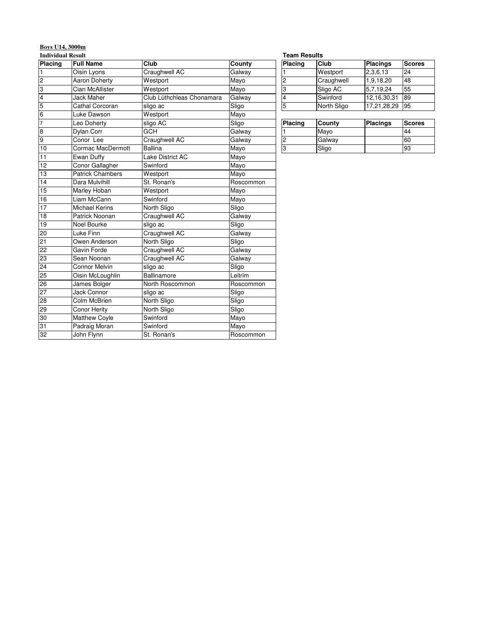# **Boys U14, 3000m**

**Individual Result**

| Placing                 | <b>Full Name</b>        | Club                      | County    | Placing                 | Club        | Placings        | <b>Scores</b> |
|-------------------------|-------------------------|---------------------------|-----------|-------------------------|-------------|-----------------|---------------|
| $\mathbf{1}$            | Oisin Lyons             | Craughwell AC             | Galway    |                         | Westport    | 2,3,6,13        | 24            |
| $\overline{2}$          | <b>Aaron Doherty</b>    | Westport                  | Mayo      | $\overline{c}$          | Craughwell  | 1,9,18,20       | 48            |
| 3                       | Cian McAllister         | Westport                  | Mayo      | 3                       | Sligo AC    | 5,7,19,24       | 55            |
| $\overline{\mathbf{4}}$ | <b>Jack Maher</b>       | Club Lúthchleas Chonamara | Galway    | $\overline{\mathbf{4}}$ | Swinford    | 12,16,30,31     | 89            |
| 5                       | Cathal Corcoran         | sligo ac                  | Sligo     | 5                       | North Sligo | 17,21,28,29     | 95            |
| $\overline{6}$          | Luke Dawson             | Westport                  | Mayo      |                         |             |                 |               |
| $\overline{7}$          | Leo Doherty             | sligo AC                  | Sligo     | Placing                 | County      | <b>Placings</b> | <b>Scores</b> |
| $\overline{\mathbf{8}}$ | Dylan Corr              | <b>GCH</b>                | Galway    |                         | Mayo        |                 | 44            |
| 9                       | Conor Lee               | Craughwell AC             | Galway    | $\overline{c}$          | Galway      |                 | 60            |
| 10                      | Cormac MacDermott       | <b>Ballina</b>            | Mayo      | 3                       | Sligo       |                 | 93            |
| 11                      | Ewan Duffy              | Lake District AC          | Mayo      |                         |             |                 |               |
| 12                      | Conor Gallagher         | Swinford                  | Mayo      |                         |             |                 |               |
| 13                      | <b>Patrick Chambers</b> | Westport                  | Mayo      |                         |             |                 |               |
| 14                      | Dara Mulvihill          | St. Ronan's               | Roscommon |                         |             |                 |               |
| 15                      | Marley Hoban            | Westport                  | Mayo      |                         |             |                 |               |
| 16                      | Liam McCann             | Swinford                  | Mayo      |                         |             |                 |               |
| 17                      | <b>Michael Kerins</b>   | North Sligo               | Sligo     |                         |             |                 |               |
| 18                      | Patrick Noonan          | Craughwell AC             | Galway    |                         |             |                 |               |
| 19                      | Noel Bourke             | sligo ac                  | Sligo     |                         |             |                 |               |
| 20                      | Luke Finn               | Craughwell AC             | Galway    |                         |             |                 |               |
| 21                      | Owen Anderson           | North Sligo               | Sligo     |                         |             |                 |               |
| 22                      | Gavin Forde             | Craughwell AC             | Galway    |                         |             |                 |               |
| 23                      | Sean Noonan             | Craughwell AC             | Galway    |                         |             |                 |               |
| 24                      | <b>Connor Melvin</b>    | sligo ac                  | Sligo     |                         |             |                 |               |
| 25                      | Oisin McLoughlin        | Ballinamore               | Leitrim   |                         |             |                 |               |
| 26                      | James Bolger            | North Roscommon           | Roscommon |                         |             |                 |               |
| 27                      | <b>Jack Connor</b>      | sligo ac                  | Sligo     |                         |             |                 |               |
| 28                      | Colm McBrien            | North Sligo               | Sligo     |                         |             |                 |               |
| 29                      | Conor Herity            | North Sligo               | Sligo     |                         |             |                 |               |
| 30                      | <b>Matthew Coyle</b>    | Swinford                  | Mayo      |                         |             |                 |               |
| 31                      | Padraig Moran           | Swinford                  | Mayo      |                         |             |                 |               |
| 32                      | John Flynn              | St. Ronan's               | Roscommon |                         |             |                 |               |

#### **Team Results**

| Placing        | Club        | <b>Placings</b> | <b>Scores</b> |  |  |  |
|----------------|-------------|-----------------|---------------|--|--|--|
|                | Westport    | 2,3,6,13        | 24            |  |  |  |
| 2              | Craughwell  | 1,9,18,20       | 48            |  |  |  |
| l3             | Sligo AC    | 5,7,19,24       | 55            |  |  |  |
| $\overline{4}$ | Swinford    | 12,16,30,31     | 89            |  |  |  |
| 15             | North Sligo | 17,21,28,29     | 95            |  |  |  |

| Placing | County | Placings | <b>Scores</b> |
|---------|--------|----------|---------------|
|         | Mayo   |          | 44            |
|         | Galway |          | 60            |
| о       | Sligo  |          | 93            |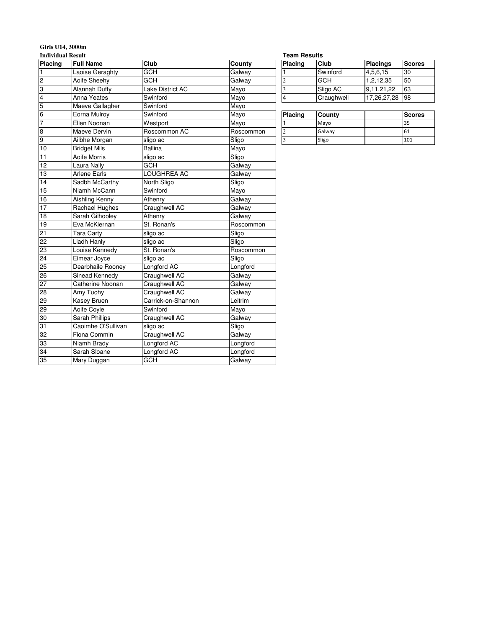# **Girls U14, 3000m**

**Individual Result**

| Placing        | <b>Full Name</b>    | Club               | County    | Placing                 | Club       | Placings    | <b>Scores</b> |
|----------------|---------------------|--------------------|-----------|-------------------------|------------|-------------|---------------|
| $\mathbf{1}$   | Laoise Geraghty     | <b>GCH</b>         | Galway    |                         | Swinford   | 4,5,6,15    | 30            |
| $\overline{c}$ | Aoife Sheehy        | GCH                | Galway    | $\overline{c}$          | <b>GCH</b> | 1,2,12,35   | 50            |
| 3              | Alannah Duffy       | Lake District AC   | Mayo      | $\overline{\mathbf{3}}$ | Sligo AC   | 9,11,21,22  | 63            |
| $\overline{4}$ | Anna Yeates         | Swinford           | Mayo      | $\overline{4}$          | Craughwell | 17,26,27,28 | 98            |
| 5              | Maeve Gallagher     | Swinford           | Mayo      |                         |            |             |               |
| $\overline{6}$ | Eorna Mulroy        | Swinford           | Mayo      | Placing                 | County     |             | <b>Scores</b> |
| 7              | Ellen Noonan        | Westport           | Mayo      |                         | Mayo       |             | 35            |
| $\overline{8}$ | Maeve Dervin        | Roscommon AC       | Roscommon | $\overline{c}$          | Galway     |             | 61            |
| 9              | Ailbhe Morgan       | sligo ac           | Sligo     | $\overline{\mathbf{3}}$ | Sligo      |             | 101           |
| 10             | <b>Bridget Mils</b> | <b>Ballina</b>     | Mayo      |                         |            |             |               |
| 11             | Aoife Morris        | sligo ac           | Sligo     |                         |            |             |               |
| 12             | Laura Nally         | <b>GCH</b>         | Galway    |                         |            |             |               |
| 13             | <b>Arlene Earls</b> | LOUGHREA AC        | Galway    |                         |            |             |               |
| 14             | Sadbh McCarthy      | North Sligo        | Sligo     |                         |            |             |               |
| 15             | Niamh McCann        | Swinford           | Mayo      |                         |            |             |               |
| 16             | Aishling Kenny      | Athenry            | Galway    |                         |            |             |               |
| 17             | Rachael Hughes      | Craughwell AC      | Galway    |                         |            |             |               |
| 18             | Sarah Gilhooley     | Athenry            | Galway    |                         |            |             |               |
| 19             | Eva McKiernan       | St. Ronan's        | Roscommon |                         |            |             |               |
| 21             | <b>Tara Carty</b>   | sligo ac           | Sligo     |                         |            |             |               |
| 22             | Liadh Hanly         | sligo ac           | Sligo     |                         |            |             |               |
| 23             | Louise Kennedy      | St. Ronan's        | Roscommon |                         |            |             |               |
| 24             | Eimear Joyce        | sligo ac           | Sligo     |                         |            |             |               |
| 25             | Dearbhaile Rooney   | Longford AC        | Longford  |                         |            |             |               |
| 26             | Sinead Kennedy      | Craughwell AC      | Galway    |                         |            |             |               |
| 27             | Catherine Noonan    | Craughwell AC      | Galway    |                         |            |             |               |
| 28             | Amy Tuohy           | Craughwell AC      | Galway    |                         |            |             |               |
| 29             | Kasey Bruen         | Carrick-on-Shannon | Leitrim   |                         |            |             |               |
| 29             | Aoife Coyle         | Swinford           | Mayo      |                         |            |             |               |
| 30             | Sarah Phillips      | Craughwell AC      | Galway    |                         |            |             |               |
| 31             | Caoimhe O'Sullivan  | sligo ac           | Sligo     |                         |            |             |               |
| 32             | Fiona Commin        | Craughwell AC      | Galway    |                         |            |             |               |
| 33             | Niamh Brady         | Longford AC        | Longford  |                         |            |             |               |
| 34             | Sarah Sloane        | Longford AC        | Longford  |                         |            |             |               |
| 35             | Mary Duggan         | <b>GCH</b>         | Galway    |                         |            |             |               |

| Team Results |
|--------------|
|              |

| <b>Placing</b> | Club       | <b>Placings</b> | <b>Scores</b> |
|----------------|------------|-----------------|---------------|
|                | Swinford   | 4,5,6,15        | '30           |
|                | <b>GCH</b> | 1,2,12,35       | 50            |
| 3              | Sligo AC   | 9,11,21,22      | 63            |
| 4              | Craughwell | 17,26,27,28     | 198           |

| Placing | County | <b>Scores</b> |
|---------|--------|---------------|
|         | Mayo   | 35            |
|         | Galway | 61            |
|         | Sligo  | 101           |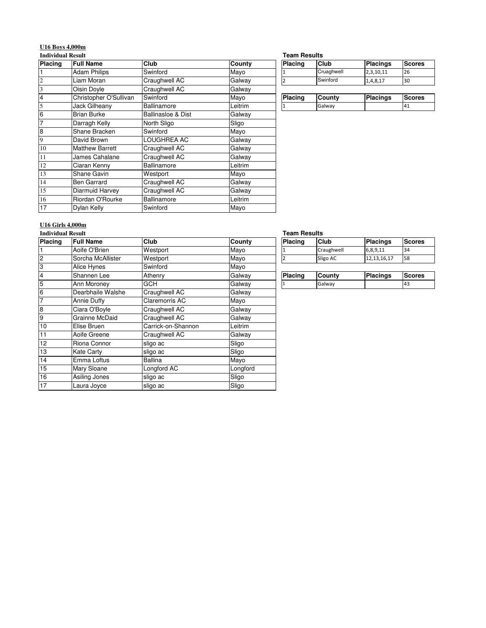# **U16 Boys 4,000m**

### **Individual Result**

| Placing | <b>Full Name</b>       | <b>Club</b>        | County  | <b>Placing</b> | Club       | Placings        | <b>Scores</b> |
|---------|------------------------|--------------------|---------|----------------|------------|-----------------|---------------|
|         | <b>Adam Philips</b>    | Swinford           | Mayo    |                | Cruaghwell | 2,3,10,11       | 26            |
| 2       | Liam Moran             | Craughwell AC      | Galway  | $\overline{2}$ | Swinford   | 1,4,8,17        | 30            |
| 3       | Oisin Doyle            | Craughwell AC      | Galway  |                |            |                 |               |
| 4       | Christopher O'Sullivan | Swinford           | Mayo    | Placing        | County     | <b>Placings</b> | <b>Scores</b> |
| 5       | Jack Gilheany          | <b>Ballinamore</b> | Leitrim |                | Galway     |                 | 41            |
| 6       | <b>Brian Burke</b>     | Ballinasloe & Dist | Galway  |                |            |                 |               |
| 7       | Darragh Kelly          | North Sligo        | Sligo   |                |            |                 |               |
| 8       | Shane Bracken          | Swinford           | Mayo    |                |            |                 |               |
| 9       | David Brown            | LOUGHREA AC        | Galway  |                |            |                 |               |
| 10      | <b>Matthew Barrett</b> | Craughwell AC      | Galway  |                |            |                 |               |
| 11      | James Cahalane         | Craughwell AC      | Galway  |                |            |                 |               |
| 12      | Ciaran Kenny           | Ballinamore        | Leitrim |                |            |                 |               |
| 13      | Shane Gavin            | Westport           | Mayo    |                |            |                 |               |
| 14      | <b>Ben Garrard</b>     | Craughwell AC      | Galway  |                |            |                 |               |
| 15      | Diarmuid Harvey        | Craughwell AC      | Galway  |                |            |                 |               |
| 16      | Riordan O'Rourke       | Ballinamore        | Leitrim |                |            |                 |               |
| 17      | Dylan Kelly            | Swinford           | Mayo    |                |            |                 |               |

#### **Team Results**

| <b>Placing</b> | Club          | Placings        | <b>Scores</b> |
|----------------|---------------|-----------------|---------------|
|                | Cruaghwell    | 2,3,10,11       | 26            |
|                | Swinford      | 1,4,8,17        | 30            |
|                |               |                 |               |
| <b>Placing</b> | County        | <b>Placings</b> | <b>Scores</b> |
|                | $\sim$ $\sim$ |                 | $\sim$        |

#### **U16 Girls 4,000m Individual Result**

| Placing         | <b>Full Name</b>  | Club                  | County   | Placing | <b>Club</b> | <b>Placings</b> | <b>Scores</b> |
|-----------------|-------------------|-----------------------|----------|---------|-------------|-----------------|---------------|
|                 | Aoife O'Brien     | Westport              | Mayo     |         | Craughwell  | 6,8,9,11        | 34            |
| $\overline{c}$  | Sorcha McAllister | Westport              | Mayo     | 2       | Sligo AC    | 12, 13, 16, 17  | 58            |
| 3               | Alice Hynes       | Swinford              | Mayo     |         |             |                 |               |
| $\overline{4}$  | Shannen Lee       | Athenry               | Galway   | Placing | County      | <b>Placings</b> | <b>Scores</b> |
| 5               | Ann Moroney       | <b>GCH</b>            | Galway   |         | Galway      |                 | 43            |
| $6\phantom{a}6$ | Dearbhaile Walshe | Craughwell AC         | Galway   |         |             |                 |               |
| 7               | Annie Duffy       | <b>Claremorris AC</b> | Mayo     |         |             |                 |               |
| 8               | Ciara O'Boyle     | Craughwell AC         | Galway   |         |             |                 |               |
| 9               | Grainne McDaid    | Craughwell AC         | Galway   |         |             |                 |               |
| 10              | Elise Bruen       | Carrick-on-Shannon    | Leitrim  |         |             |                 |               |
| 11              | Aoife Greene      | Craughwell AC         | Galway   |         |             |                 |               |
| 12              | Riona Connor      | sligo ac              | Sligo    |         |             |                 |               |
| 13              | <b>Kate Carty</b> | sligo ac              | Sligo    |         |             |                 |               |
| 14              | Emma Loftus       | Ballina               | Mayo     |         |             |                 |               |
| 15              | Mary Sloane       | Longford AC           | Longford |         |             |                 |               |
| 16              | Asiling Jones     | sligo ac              | Sligo    |         |             |                 |               |
| 17              | Laura Jovce       | Isligo ac             | Sligo    |         |             |                 |               |
|                 |                   |                       |          |         |             |                 |               |

### Placing Club Placings Scores **Team Results**

|  |         | Galway     |                 | 43            |
|--|---------|------------|-----------------|---------------|
|  | Placing | County     | <b>Placings</b> | <b>Scores</b> |
|  |         |            |                 |               |
|  |         | Sligo AC   | 12, 13, 16, 17  | 58            |
|  |         | Craughwell | 6,8,9,11        | 34            |
|  |         |            |                 |               |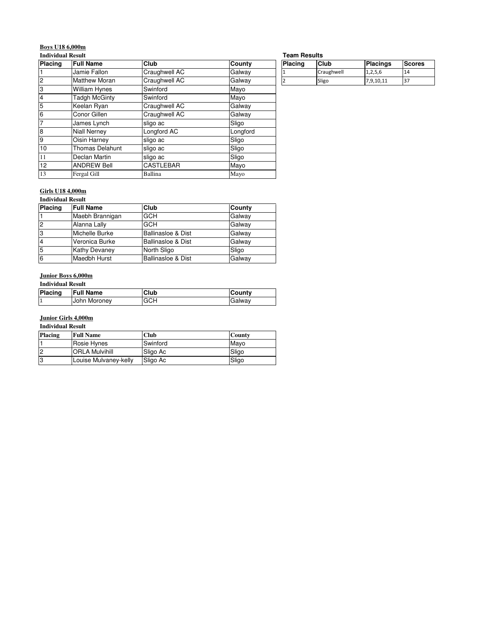# **Boys U18 6,000m**

### **Individual Result**

| Individual Result    |                   |               | <b>leam Results</b> |            |                 |               |
|----------------------|-------------------|---------------|---------------------|------------|-----------------|---------------|
| <b>Full Name</b>     | <b>Club</b>       | <b>County</b> | <b>Placing</b>      | Club       | <b>Placings</b> | <b>Scores</b> |
| Jamie Fallon         | Craughwell AC     | Galway        |                     | Craughwell | 1,2,5,6         | 14            |
| <b>Matthew Moran</b> | Craughwell AC     | Galway        |                     | Sligo      | 7,9,10,11       | 37            |
| William Hynes        | Swinford          | Mayo          |                     |            |                 |               |
| Tadgh McGinty        | Swinford          | Mayo          |                     |            |                 |               |
| Keelan Ryan          | Craughwell AC     | Galway        |                     |            |                 |               |
| Conor Gillen         | Craughwell AC     | Galway        |                     |            |                 |               |
| James Lynch          | sligo ac          | Sligo         |                     |            |                 |               |
| <b>Niall Nerney</b>  | Longford AC       | Longford      |                     |            |                 |               |
| Oisin Harney         | sligo ac          | Sligo         |                     |            |                 |               |
| Thomas Delahunt      | sligo ac          | Sligo         |                     |            |                 |               |
| Declan Martin        | sligo ac          | Sligo         |                     |            |                 |               |
| <b>ANDREW Bell</b>   | <b>ICASTLEBAR</b> | Mayo          |                     |            |                 |               |
| Fergal Gill          | Ballina           | Mayo          |                     |            |                 |               |
|                      |                   |               |                     |            |                 |               |

#### **Team Results**

| Placing | Club       | <b>Placings</b> | <b>Scores</b> |
|---------|------------|-----------------|---------------|
|         | Craughwell | 1,2,5,6         | 14            |
|         | Sligo      | 7,9,10,11       | 37            |

# **Girls U18 4,000m**

# **Individual Result**

| <b>Placing</b> | <b>Full Name</b>     | Club                          | County |
|----------------|----------------------|-------------------------------|--------|
|                | Maebh Brannigan      | <b>GCH</b>                    | Galway |
| $\overline{2}$ | Alanna Lally         | GCH                           | Galway |
| 3              | Michelle Burke       | <b>Ballinasloe &amp; Dist</b> | Galway |
|                | Veronica Burke       | <b>Ballinasloe &amp; Dist</b> | Galway |
| 5              | <b>Kathy Devaney</b> | North Sligo                   | Sligo  |
| 6              | Maedbh Hurst         | <b>Ballinasloe &amp; Dist</b> | Galway |

## **Junior Boys 6,000m**

### **Individual Result**

| Placing | <b>Full Name</b> | Club       | lCountv       |
|---------|------------------|------------|---------------|
|         | John Moroney     | <b>GCH</b> | <b>Galway</b> |

# **Junior Girls 4,000m**

**Individual Result**

| Placing | <b>Full Name</b>      | Club     | <b>County</b> |
|---------|-----------------------|----------|---------------|
|         | Rosie Hynes           | Swinford | Mavo          |
| 2       | <b>ORLA Mulvihill</b> | Sligo Ac | Sligo         |
| 3       | Louise Mulvaney-kelly | Sligo Ac | Sligo         |